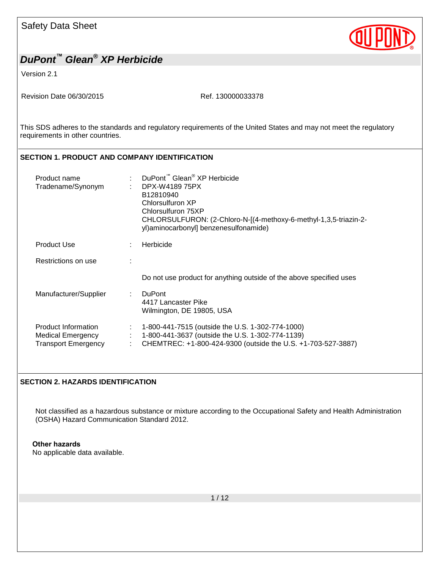Version 2.1

Revision Date 06/30/2015 Revision Date 06/30/2015

This SDS adheres to the standards and regulatory requirements of the United States and may not meet the regulatory requirements in other countries.

### **SECTION 1. PRODUCT AND COMPANY IDENTIFICATION**

| Product name<br>Tradename/Synonym                                             | ÷ | DuPont <sup>™</sup> Glean <sup>®</sup> XP Herbicide<br>DPX-W4189 75PX<br>B12810940<br>Chlorsulfuron XP<br>Chlorsulfuron 75XP<br>CHLORSULFURON: (2-Chloro-N-[(4-methoxy-6-methyl-1,3,5-triazin-2-<br>yl)aminocarbonyl] benzenesulfonamide) |
|-------------------------------------------------------------------------------|---|-------------------------------------------------------------------------------------------------------------------------------------------------------------------------------------------------------------------------------------------|
| <b>Product Use</b>                                                            | ÷ | Herbicide                                                                                                                                                                                                                                 |
| Restrictions on use                                                           |   |                                                                                                                                                                                                                                           |
|                                                                               |   | Do not use product for anything outside of the above specified uses                                                                                                                                                                       |
| Manufacturer/Supplier                                                         |   | <b>DuPont</b><br>4417 Lancaster Pike<br>Wilmington, DE 19805, USA                                                                                                                                                                         |
| <b>Product Information</b><br>Medical Emergency<br><b>Transport Emergency</b> | ÷ | 1-800-441-7515 (outside the U.S. 1-302-774-1000)<br>1-800-441-3637 (outside the U.S. 1-302-774-1139)<br>CHEMTREC: +1-800-424-9300 (outside the U.S. +1-703-527-3887)                                                                      |

### **SECTION 2. HAZARDS IDENTIFICATION**

Not classified as a hazardous substance or mixture according to the Occupational Safety and Health Administration (OSHA) Hazard Communication Standard 2012.

#### **Other hazards**

No applicable data available.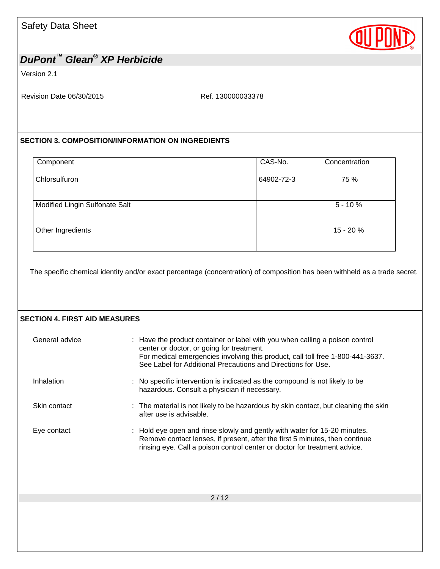

Version 2.1

Revision Date 06/30/2015 Ref. 130000033378

### **SECTION 3. COMPOSITION/INFORMATION ON INGREDIENTS**

| Component                      | CAS-No.    | Concentration |
|--------------------------------|------------|---------------|
| Chlorsulfuron                  | 64902-72-3 | 75 %          |
| Modified Lingin Sulfonate Salt |            | $5 - 10%$     |
| Other Ingredients              |            | 15 - 20 %     |
|                                |            |               |

The specific chemical identity and/or exact percentage (concentration) of composition has been withheld as a trade secret.

#### **SECTION 4. FIRST AID MEASURES**

| General advice | : Have the product container or label with you when calling a poison control<br>center or doctor, or going for treatment.<br>For medical emergencies involving this product, call toll free 1-800-441-3637.<br>See Label for Additional Precautions and Directions for Use. |
|----------------|-----------------------------------------------------------------------------------------------------------------------------------------------------------------------------------------------------------------------------------------------------------------------------|
| Inhalation     | : No specific intervention is indicated as the compound is not likely to be<br>hazardous. Consult a physician if necessary.                                                                                                                                                 |
| Skin contact   | : The material is not likely to be hazardous by skin contact, but cleaning the skin<br>after use is advisable.                                                                                                                                                              |
| Eye contact    | : Hold eye open and rinse slowly and gently with water for 15-20 minutes.<br>Remove contact lenses, if present, after the first 5 minutes, then continue<br>rinsing eye. Call a poison control center or doctor for treatment advice.                                       |
|                |                                                                                                                                                                                                                                                                             |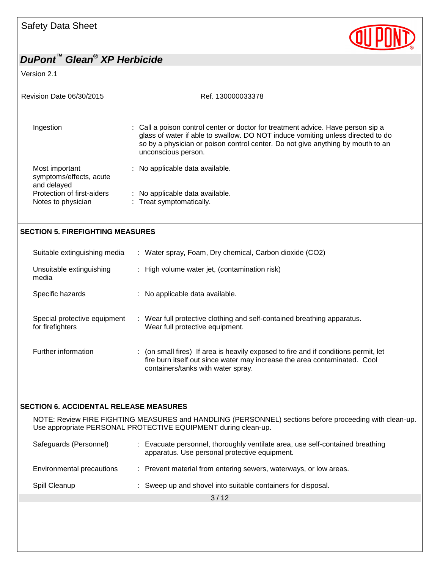Version 2.1

| Ref. 130000033378                                                                                                                                                                                                                                                             |  |  |
|-------------------------------------------------------------------------------------------------------------------------------------------------------------------------------------------------------------------------------------------------------------------------------|--|--|
| : Call a poison control center or doctor for treatment advice. Have person sip a<br>glass of water if able to swallow. DO NOT induce vomiting unless directed to do<br>so by a physician or poison control center. Do not give anything by mouth to an<br>unconscious person. |  |  |
| : No applicable data available.                                                                                                                                                                                                                                               |  |  |
| : No applicable data available.<br>: Treat symptomatically.                                                                                                                                                                                                                   |  |  |
|                                                                                                                                                                                                                                                                               |  |  |

#### **SECTION 5. FIREFIGHTING MEASURES**

| Suitable extinguishing media                     | : Water spray, Foam, Dry chemical, Carbon dioxide (CO2)                                                                                                                                                |  |
|--------------------------------------------------|--------------------------------------------------------------------------------------------------------------------------------------------------------------------------------------------------------|--|
| Unsuitable extinguishing<br>media                | : High volume water jet, (contamination risk)                                                                                                                                                          |  |
| Specific hazards                                 | : No applicable data available.                                                                                                                                                                        |  |
| Special protective equipment<br>for firefighters | : Wear full protective clothing and self-contained breathing apparatus.<br>Wear full protective equipment.                                                                                             |  |
| Further information                              | : (on small fires) If area is heavily exposed to fire and if conditions permit, let<br>fire burn itself out since water may increase the area contaminated. Cool<br>containers/tanks with water spray. |  |

#### **SECTION 6. ACCIDENTAL RELEASE MEASURES**

NOTE: Review FIRE FIGHTING MEASURES and HANDLING (PERSONNEL) sections before proceeding with clean-up. Use appropriate PERSONAL PROTECTIVE EQUIPMENT during clean-up.

| Safeguards (Personnel)    | Evacuate personnel, thoroughly ventilate area, use self-contained breathing<br>apparatus. Use personal protective equipment. |
|---------------------------|------------------------------------------------------------------------------------------------------------------------------|
| Environmental precautions | : Prevent material from entering sewers, waterways, or low areas.                                                            |
| Spill Cleanup             | : Sweep up and shovel into suitable containers for disposal.                                                                 |
|                           |                                                                                                                              |

 $3/12$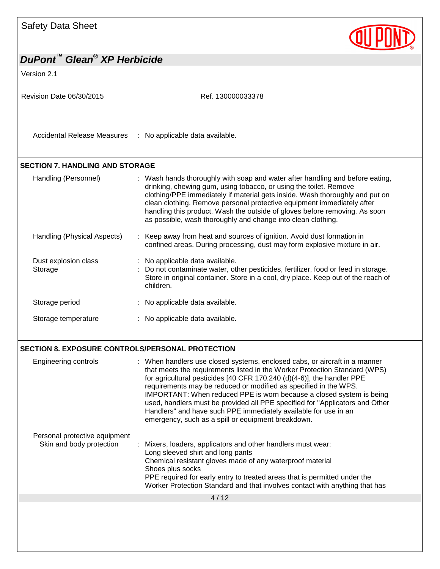

### **SECTION 8. EXPOSURE CONTROLS/PERSONAL PROTECTION**

| <b>Engineering controls</b>                               | : When handlers use closed systems, enclosed cabs, or aircraft in a manner<br>that meets the requirements listed in the Worker Protection Standard (WPS)<br>for agricultural pesticides [40 CFR 170.240 (d)(4-6)], the handler PPE<br>requirements may be reduced or modified as specified in the WPS.<br>IMPORTANT: When reduced PPE is worn because a closed system is being<br>used, handlers must be provided all PPE specified for "Applicators and Other<br>Handlers" and have such PPE immediately available for use in an<br>emergency, such as a spill or equipment breakdown. |
|-----------------------------------------------------------|-----------------------------------------------------------------------------------------------------------------------------------------------------------------------------------------------------------------------------------------------------------------------------------------------------------------------------------------------------------------------------------------------------------------------------------------------------------------------------------------------------------------------------------------------------------------------------------------|
| Personal protective equipment<br>Skin and body protection | : Mixers, loaders, applicators and other handlers must wear:<br>Long sleeved shirt and long pants<br>Chemical resistant gloves made of any waterproof material<br>Shoes plus socks<br>PPE required for early entry to treated areas that is permitted under the<br>Worker Protection Standard and that involves contact with anything that has                                                                                                                                                                                                                                          |
|                                                           | 4/12                                                                                                                                                                                                                                                                                                                                                                                                                                                                                                                                                                                    |
|                                                           |                                                                                                                                                                                                                                                                                                                                                                                                                                                                                                                                                                                         |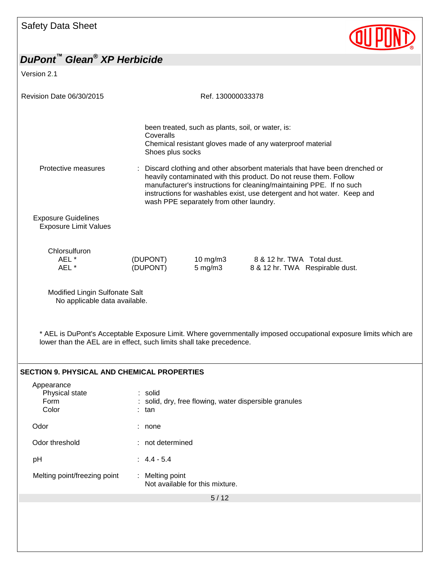Version 2.1

| Revision Date 06/30/2015                                             |                               | Ref. 130000033378                                 |                                                                                                                                                                                                                                                                                                   |  |
|----------------------------------------------------------------------|-------------------------------|---------------------------------------------------|---------------------------------------------------------------------------------------------------------------------------------------------------------------------------------------------------------------------------------------------------------------------------------------------------|--|
|                                                                      | Coveralls<br>Shoes plus socks | been treated, such as plants, soil, or water, is: | Chemical resistant gloves made of any waterproof material                                                                                                                                                                                                                                         |  |
| Protective measures                                                  |                               | wash PPE separately from other laundry.           | Discard clothing and other absorbent materials that have been drenched or<br>heavily contaminated with this product. Do not reuse them. Follow<br>manufacturer's instructions for cleaning/maintaining PPE. If no such<br>instructions for washables exist, use detergent and hot water. Keep and |  |
| <b>Exposure Guidelines</b><br><b>Exposure Limit Values</b>           |                               |                                                   |                                                                                                                                                                                                                                                                                                   |  |
| Chlorsulfuron<br>AEL*<br>AEL *                                       | (DUPONT)<br>(DUPONT)          | $10 \text{ mg/m}$ 3<br>$5 \text{ mg/m}$ 3         | 8 & 12 hr. TWA Total dust.<br>8 & 12 hr. TWA Respirable dust.                                                                                                                                                                                                                                     |  |
| Modified Lingin Sulfonate Salt<br>No applicable data available.      |                               |                                                   |                                                                                                                                                                                                                                                                                                   |  |
| lower than the AEL are in effect, such limits shall take precedence. |                               |                                                   | * AEL is DuPont's Acceptable Exposure Limit. Where governmentally imposed occupational exposure limits which are                                                                                                                                                                                  |  |
| <b>SECTION 9. PHYSICAL AND CHEMICAL PROPERTIES</b>                   |                               |                                                   |                                                                                                                                                                                                                                                                                                   |  |
| Appearance<br>Physical state<br>Form<br>Color                        | : solid<br>: tan              |                                                   | solid, dry, free flowing, water dispersible granules                                                                                                                                                                                                                                              |  |
| Odor                                                                 | : none                        |                                                   |                                                                                                                                                                                                                                                                                                   |  |
| Odor threshold                                                       | : not determined              |                                                   |                                                                                                                                                                                                                                                                                                   |  |
| pH                                                                   | $: 4.4 - 5.4$                 |                                                   |                                                                                                                                                                                                                                                                                                   |  |
| Melting point/freezing point                                         | : Melting point               | Not available for this mixture.                   |                                                                                                                                                                                                                                                                                                   |  |
|                                                                      |                               | 5/12                                              |                                                                                                                                                                                                                                                                                                   |  |

**QUIPOND**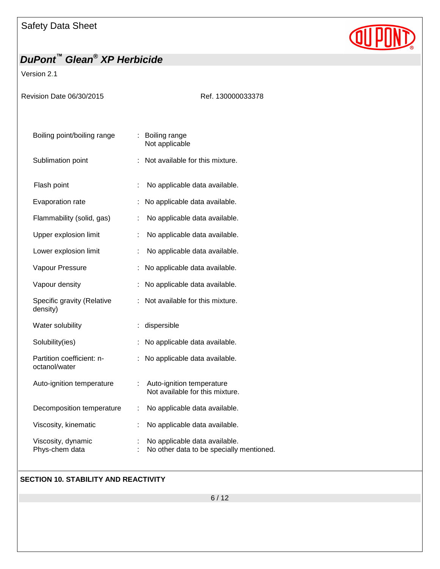

Version 2.1

| Revision Date 06/30/2015                   | Ref. 130000033378                                                         |
|--------------------------------------------|---------------------------------------------------------------------------|
| Boiling point/boiling range                | : Boiling range<br>Not applicable                                         |
| Sublimation point                          | Not available for this mixture.                                           |
| Flash point                                | No applicable data available.<br>t                                        |
| Evaporation rate                           | No applicable data available.<br>t.                                       |
| Flammability (solid, gas)                  | No applicable data available.                                             |
| Upper explosion limit                      | ÷.<br>No applicable data available.                                       |
| Lower explosion limit                      | No applicable data available.<br>÷                                        |
| Vapour Pressure                            | No applicable data available.                                             |
| Vapour density                             | No applicable data available.                                             |
| Specific gravity (Relative<br>density)     | Not available for this mixture.                                           |
| Water solubility                           | dispersible                                                               |
| Solubility(ies)                            | No applicable data available.                                             |
| Partition coefficient: n-<br>octanol/water | No applicable data available.                                             |
| Auto-ignition temperature                  | Auto-ignition temperature<br>t.<br>Not available for this mixture.        |
| Decomposition temperature                  | ÷.<br>No applicable data available.                                       |
| Viscosity, kinematic                       | No applicable data available.                                             |
| Viscosity, dynamic<br>Phys-chem data       | No applicable data available.<br>No other data to be specially mentioned. |

### **SECTION 10. STABILITY AND REACTIVITY**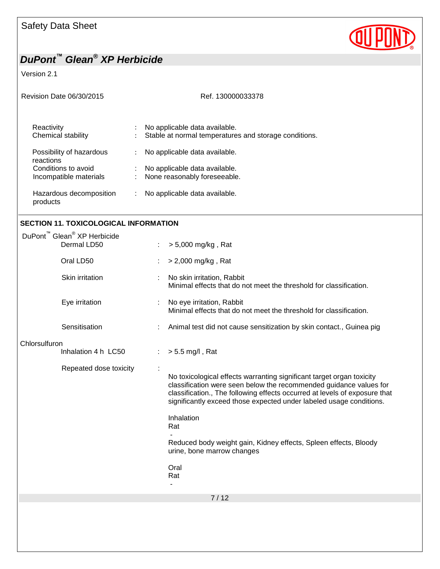Version 2.1

| <b>Revision Date 06/30/2015</b>                                                        | Ref. 130000033378                                                                                                      |  |  |
|----------------------------------------------------------------------------------------|------------------------------------------------------------------------------------------------------------------------|--|--|
| Reactivity<br>Chemical stability                                                       | No applicable data available.<br>÷<br>Stable at normal temperatures and storage conditions.                            |  |  |
| Possibility of hazardous<br>reactions<br>Conditions to avoid<br>Incompatible materials | No applicable data available.<br>$\ddot{\phantom{0}}$<br>No applicable data available.<br>None reasonably foreseeable. |  |  |
| Hazardous decomposition<br>products                                                    | No applicable data available.                                                                                          |  |  |

**QUIPOND** 

### **SECTION 11. TOXICOLOGICAL INFORMATION**

| DuPont <sup>™</sup> Glean <sup>®</sup> XP Herbicide<br>Dermal LD50 | > 5,000 mg/kg, Rat                                                                                                                                                                                                                                                                               |
|--------------------------------------------------------------------|--------------------------------------------------------------------------------------------------------------------------------------------------------------------------------------------------------------------------------------------------------------------------------------------------|
| Oral LD50                                                          | > 2,000 mg/kg, Rat                                                                                                                                                                                                                                                                               |
| Skin irritation                                                    | No skin irritation, Rabbit<br>Minimal effects that do not meet the threshold for classification.                                                                                                                                                                                                 |
| Eye irritation                                                     | No eye irritation, Rabbit<br>Minimal effects that do not meet the threshold for classification.                                                                                                                                                                                                  |
| Sensitisation                                                      | Animal test did not cause sensitization by skin contact., Guinea pig                                                                                                                                                                                                                             |
| Chlorsulfuron<br>Inhalation 4 h LC50<br>Repeated dose toxicity     | $> 5.5$ mg/l, Rat                                                                                                                                                                                                                                                                                |
|                                                                    | No toxicological effects warranting significant target organ toxicity<br>classification were seen below the recommended guidance values for<br>classification., The following effects occurred at levels of exposure that<br>significantly exceed those expected under labeled usage conditions. |
|                                                                    | Inhalation<br>Rat                                                                                                                                                                                                                                                                                |
|                                                                    | Reduced body weight gain, Kidney effects, Spleen effects, Bloody<br>urine, bone marrow changes                                                                                                                                                                                                   |
|                                                                    | Oral<br>Rat                                                                                                                                                                                                                                                                                      |
|                                                                    | 7/12                                                                                                                                                                                                                                                                                             |
|                                                                    |                                                                                                                                                                                                                                                                                                  |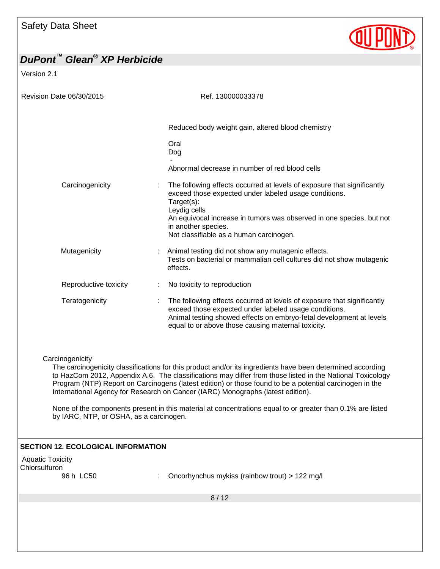

## *DuPont™ Glean® XP Herbicide* Version 2.1 Revision Date 06/30/2015 Revision Date 06/30/2015 8 / 12 Reduced body weight gain, altered blood chemistry Oral Dog - Abnormal decrease in number of red blood cells Carcinogenicity **12.1 Carcinogenicity** : The following effects occurred at levels of exposure that significantly exceed those expected under labeled usage conditions. Target(s): Leydig cells An equivocal increase in tumors was observed in one species, but not in another species. Not classifiable as a human carcinogen. Mutagenicity : Animal testing did not show any mutagenic effects. Tests on bacterial or mammalian cell cultures did not show mutagenic effects. Reproductive toxicity : No toxicity to reproduction Teratogenicity **intercatagent in the following effects occurred at levels of exposure that significantly** exceed those expected under labeled usage conditions. Animal testing showed effects on embryo-fetal development at levels equal to or above those causing maternal toxicity. **Carcinogenicity** The carcinogenicity classifications for this product and/or its ingredients have been determined according to HazCom 2012, Appendix A.6. The classifications may differ from those listed in the National Toxicology Program (NTP) Report on Carcinogens (latest edition) or those found to be a potential carcinogen in the International Agency for Research on Cancer (IARC) Monographs (latest edition). None of the components present in this material at concentrations equal to or greater than 0.1% are listed by IARC, NTP, or OSHA, as a carcinogen. **SECTION 12. ECOLOGICAL INFORMATION** Aquatic Toxicity Chlorsulfuron<br>96 h LC50 Oncorhynchus mykiss (rainbow trout) > 122 mg/l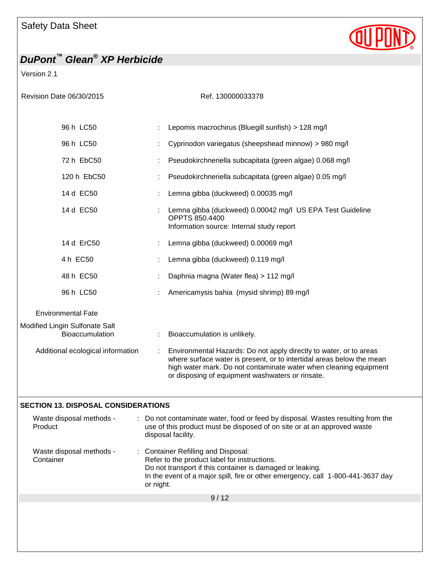

Version 2.1

| Revision Date 06/30/2015                          | Ref. 130000033378                                                                                                                                                                                                                                                    |
|---------------------------------------------------|----------------------------------------------------------------------------------------------------------------------------------------------------------------------------------------------------------------------------------------------------------------------|
| 96 h LC50                                         | Lepomis macrochirus (Bluegill sunfish) > 128 mg/l                                                                                                                                                                                                                    |
| 96 h LC50                                         | Cyprinodon variegatus (sheepshead minnow) > 980 mg/l                                                                                                                                                                                                                 |
| 72 h EbC50                                        | Pseudokirchneriella subcapitata (green algae) 0.068 mg/l                                                                                                                                                                                                             |
| 120 h EbC50                                       | Pseudokirchneriella subcapitata (green algae) 0.05 mg/l                                                                                                                                                                                                              |
| 14 d EC50                                         | Lemna gibba (duckweed) 0.00035 mg/l                                                                                                                                                                                                                                  |
| 14 d EC50                                         | Lemna gibba (duckweed) 0.00042 mg/l US EPA Test Guideline<br><b>OPPTS 850,4400</b><br>Information source: Internal study report                                                                                                                                      |
| 14 d ErC50                                        | Lemna gibba (duckweed) 0.00069 mg/l                                                                                                                                                                                                                                  |
| 4 h EC50                                          | Lemna gibba (duckweed) 0.119 mg/l                                                                                                                                                                                                                                    |
| 48 h EC50                                         | Daphnia magna (Water flea) > 112 mg/l                                                                                                                                                                                                                                |
| 96 h LC50                                         | Americamysis bahia (mysid shrimp) 89 mg/l                                                                                                                                                                                                                            |
| <b>Environmental Fate</b>                         |                                                                                                                                                                                                                                                                      |
| Modified Lingin Sulfonate Salt<br>Bioaccumulation | Bioaccumulation is unlikely.                                                                                                                                                                                                                                         |
| Additional ecological information                 | Environmental Hazards: Do not apply directly to water, or to areas<br>where surface water is present, or to intertidal areas below the mean<br>high water mark. Do not contaminate water when cleaning equipment<br>or disposing of equipment washwaters or rinsate. |
| <b>SECTION 13. DISPOSAL CONSIDERATIONS</b>        |                                                                                                                                                                                                                                                                      |

| Waste disposal methods -<br>Product   | : Do not contaminate water, food or feed by disposal. Wastes resulting from the<br>use of this product must be disposed of on site or at an approved waste<br>disposal facility.                                                                 |
|---------------------------------------|--------------------------------------------------------------------------------------------------------------------------------------------------------------------------------------------------------------------------------------------------|
| Waste disposal methods -<br>Container | : Container Refilling and Disposal:<br>Refer to the product label for instructions.<br>Do not transport if this container is damaged or leaking.<br>In the event of a major spill, fire or other emergency, call 1-800-441-3637 day<br>or night. |
|                                       | 9/12                                                                                                                                                                                                                                             |
|                                       |                                                                                                                                                                                                                                                  |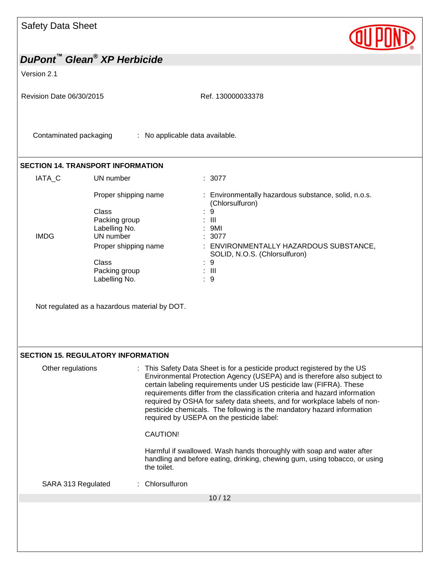

Version 2.1

Revision Date 06/30/2015 Ref. 130000033378

Contaminated packaging : No applicable data available.

#### **SECTION 14. TRANSPORT INFORMATION**

| IATA C      | UN number            | : 3077                                                                  |
|-------------|----------------------|-------------------------------------------------------------------------|
|             | Proper shipping name | : Environmentally hazardous substance, solid, n.o.s.<br>(Chlorsulfuron) |
|             | Class                | : 9                                                                     |
|             | Packing group        | : III                                                                   |
|             | Labelling No.        | : 9MI                                                                   |
| <b>IMDG</b> | UN number            | : 3077                                                                  |
|             | Proper shipping name | : ENVIRONMENTALLY HAZARDOUS SUBSTANCE,<br>SOLID, N.O.S. (Chlorsulfuron) |
|             | Class                | : 9                                                                     |
|             | Packing group        | : III                                                                   |
|             | Labelling No.        | -9<br>÷.                                                                |

Not regulated as a hazardous material by DOT.

#### **SECTION 15. REGULATORY INFORMATION**

| Other regulations  | : This Safety Data Sheet is for a pesticide product registered by the US<br>Environmental Protection Agency (USEPA) and is therefore also subject to<br>certain labeling requirements under US pesticide law (FIFRA). These<br>requirements differ from the classification criteria and hazard information<br>required by OSHA for safety data sheets, and for workplace labels of non-<br>pesticide chemicals. The following is the mandatory hazard information<br>required by USEPA on the pesticide label:<br>CAUTION!<br>Harmful if swallowed. Wash hands thoroughly with soap and water after<br>handling and before eating, drinking, chewing gum, using tobacco, or using<br>the toilet. |
|--------------------|--------------------------------------------------------------------------------------------------------------------------------------------------------------------------------------------------------------------------------------------------------------------------------------------------------------------------------------------------------------------------------------------------------------------------------------------------------------------------------------------------------------------------------------------------------------------------------------------------------------------------------------------------------------------------------------------------|
| SARA 313 Regulated | : Chlorsulfuron                                                                                                                                                                                                                                                                                                                                                                                                                                                                                                                                                                                                                                                                                  |
|                    | 10/12                                                                                                                                                                                                                                                                                                                                                                                                                                                                                                                                                                                                                                                                                            |
|                    |                                                                                                                                                                                                                                                                                                                                                                                                                                                                                                                                                                                                                                                                                                  |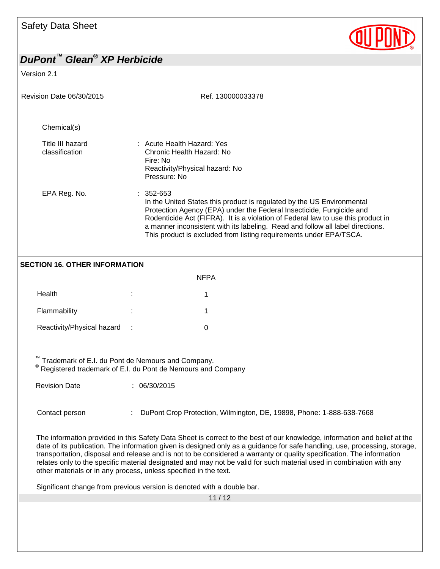

Version 2.1

| Revision Date 06/30/2015                                                                                         | Ref. 130000033378                                                                                                                                                                                                                                                                                                                                                                                                                                                                                                                                                            |  |  |  |
|------------------------------------------------------------------------------------------------------------------|------------------------------------------------------------------------------------------------------------------------------------------------------------------------------------------------------------------------------------------------------------------------------------------------------------------------------------------------------------------------------------------------------------------------------------------------------------------------------------------------------------------------------------------------------------------------------|--|--|--|
| Chemical(s)                                                                                                      |                                                                                                                                                                                                                                                                                                                                                                                                                                                                                                                                                                              |  |  |  |
| Title III hazard<br>classification                                                                               | : Acute Health Hazard: Yes<br>Chronic Health Hazard: No<br>Fire: No<br>Reactivity/Physical hazard: No<br>Pressure: No                                                                                                                                                                                                                                                                                                                                                                                                                                                        |  |  |  |
| EPA Reg. No.                                                                                                     | $: 352 - 653$<br>In the United States this product is regulated by the US Environmental<br>Protection Agency (EPA) under the Federal Insecticide, Fungicide and<br>Rodenticide Act (FIFRA). It is a violation of Federal law to use this product in<br>a manner inconsistent with its labeling. Read and follow all label directions.<br>This product is excluded from listing requirements under EPA/TSCA.                                                                                                                                                                  |  |  |  |
| <b>SECTION 16. OTHER INFORMATION</b>                                                                             |                                                                                                                                                                                                                                                                                                                                                                                                                                                                                                                                                                              |  |  |  |
|                                                                                                                  | <b>NFPA</b>                                                                                                                                                                                                                                                                                                                                                                                                                                                                                                                                                                  |  |  |  |
| Health                                                                                                           | 1                                                                                                                                                                                                                                                                                                                                                                                                                                                                                                                                                                            |  |  |  |
| Flammability                                                                                                     | 1                                                                                                                                                                                                                                                                                                                                                                                                                                                                                                                                                                            |  |  |  |
| Reactivity/Physical hazard                                                                                       | $\Omega$                                                                                                                                                                                                                                                                                                                                                                                                                                                                                                                                                                     |  |  |  |
| Trademark of E.I. du Pont de Nemours and Company.<br>Registered trademark of E.I. du Pont de Nemours and Company |                                                                                                                                                                                                                                                                                                                                                                                                                                                                                                                                                                              |  |  |  |
| <b>Revision Date</b>                                                                                             | : 06/30/2015                                                                                                                                                                                                                                                                                                                                                                                                                                                                                                                                                                 |  |  |  |
| Contact person                                                                                                   | DuPont Crop Protection, Wilmington, DE, 19898, Phone: 1-888-638-7668                                                                                                                                                                                                                                                                                                                                                                                                                                                                                                         |  |  |  |
|                                                                                                                  | The information provided in this Safety Data Sheet is correct to the best of our knowledge, information and belief at the<br>date of its publication. The information given is designed only as a guidance for safe handling, use, processing, storage,<br>transportation, disposal and release and is not to be considered a warranty or quality specification. The information<br>relates only to the specific material designated and may not be valid for such material used in combination with any<br>other materials or in any process, unless specified in the text. |  |  |  |

Significant change from previous version is denoted with a double bar.

11 / 12